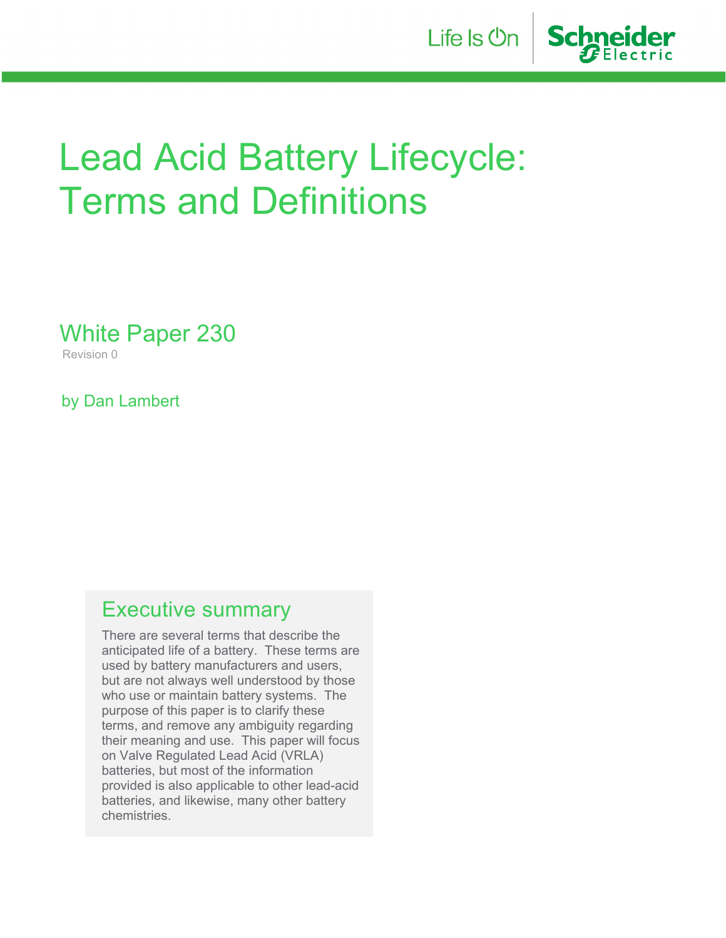Life Is **Un** 



# Lead Acid Battery Lifecycle: Terms and Definitions

White Paper 230

Revision 0

by Dan Lambert

## Executive summary

There are several terms that describe the anticipated life of a battery. These terms are used by battery manufacturers and users, but are not always well understood by those who use or maintain battery systems. The purpose of this paper is to clarify these terms, and remove any ambiguity regarding their meaning and use. This paper will focus on Valve Regulated Lead Acid (VRLA) batteries, but most of the information provided is also applicable to other lead-acid batteries, and likewise, many other battery chemistries.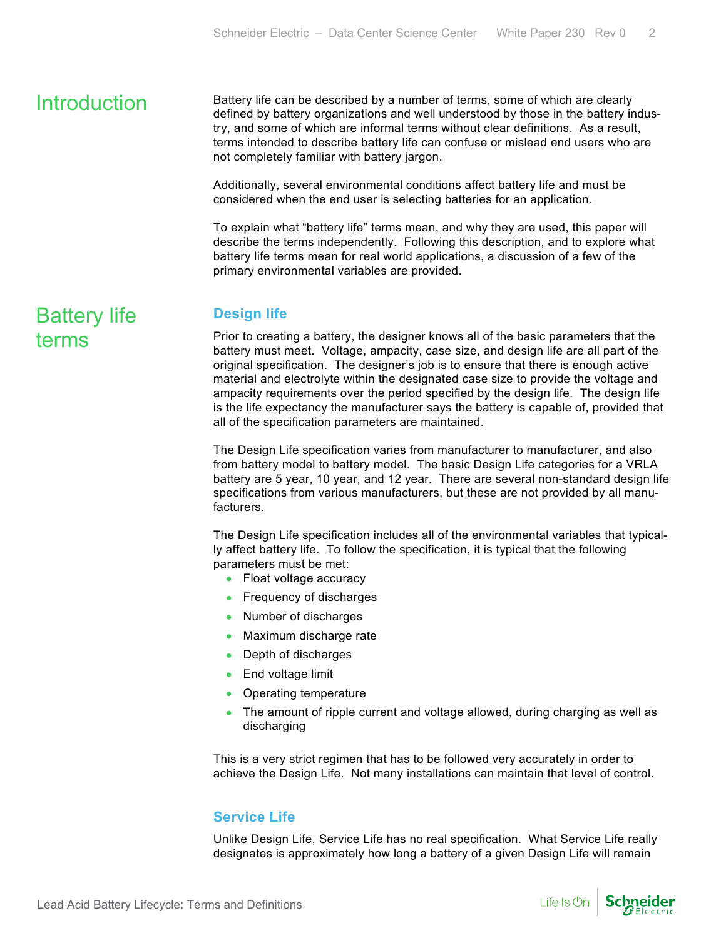#### **Introduction**

Battery life can be described by a number of terms, some of which are clearly defined by battery organizations and well understood by those in the battery industry, and some of which are informal terms without clear definitions. As a result, terms intended to describe battery life can confuse or mislead end users who are not completely familiar with battery jargon.

Additionally, several environmental conditions affect battery life and must be considered when the end user is selecting batteries for an application.

To explain what "battery life" terms mean, and why they are used, this paper will describe the terms independently. Following this description, and to explore what battery life terms mean for real world applications, a discussion of a few of the primary environmental variables are provided.

#### Battery life terms

#### **Design life**

Prior to creating a battery, the designer knows all of the basic parameters that the battery must meet. Voltage, ampacity, case size, and design life are all part of the original specification. The designer's job is to ensure that there is enough active material and electrolyte within the designated case size to provide the voltage and ampacity requirements over the period specified by the design life. The design life is the life expectancy the manufacturer says the battery is capable of, provided that all of the specification parameters are maintained.

The Design Life specification varies from manufacturer to manufacturer, and also from battery model to battery model. The basic Design Life categories for a VRLA battery are 5 year, 10 year, and 12 year. There are several non-standard design life specifications from various manufacturers, but these are not provided by all manufacturers.

The Design Life specification includes all of the environmental variables that typically affect battery life. To follow the specification, it is typical that the following parameters must be met:

- Float voltage accuracy
- Frequency of discharges
- Number of discharges
- Maximum discharge rate
- Depth of discharges
- End voltage limit
- Operating temperature
- The amount of ripple current and voltage allowed, during charging as well as discharging

This is a very strict regimen that has to be followed very accurately in order to achieve the Design Life. Not many installations can maintain that level of control.

#### **Service Life**

Unlike Design Life, Service Life has no real specification. What Service Life really designates is approximately how long a battery of a given Design Life will remain

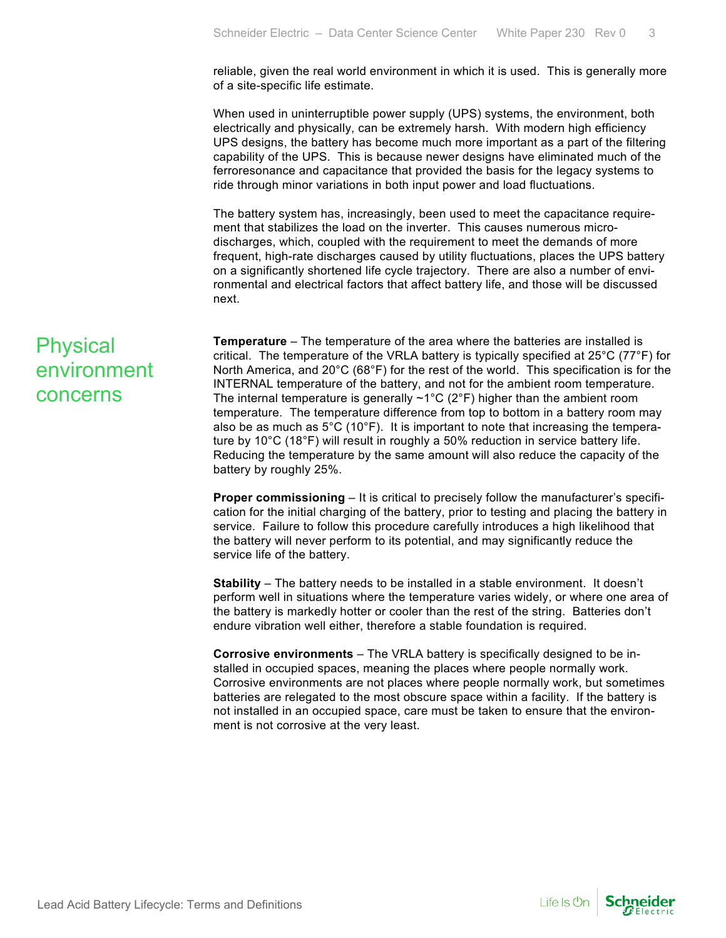reliable, given the real world environment in which it is used. This is generally more of a site-specific life estimate.

When used in uninterruptible power supply (UPS) systems, the environment, both electrically and physically, can be extremely harsh. With modern high efficiency UPS designs, the battery has become much more important as a part of the filtering capability of the UPS. This is because newer designs have eliminated much of the ferroresonance and capacitance that provided the basis for the legacy systems to ride through minor variations in both input power and load fluctuations.

The battery system has, increasingly, been used to meet the capacitance requirement that stabilizes the load on the inverter. This causes numerous microdischarges, which, coupled with the requirement to meet the demands of more frequent, high-rate discharges caused by utility fluctuations, places the UPS battery on a significantly shortened life cycle trajectory. There are also a number of environmental and electrical factors that affect battery life, and those will be discussed next.

# **Physical** environment concerns

**Temperature** – The temperature of the area where the batteries are installed is critical. The temperature of the VRLA battery is typically specified at 25°C (77°F) for North America, and 20°C (68°F) for the rest of the world. This specification is for the INTERNAL temperature of the battery, and not for the ambient room temperature. The internal temperature is generally  $\sim$ 1°C (2°F) higher than the ambient room temperature. The temperature difference from top to bottom in a battery room may also be as much as  $5^{\circ}$ C (10 $^{\circ}$ F). It is important to note that increasing the temperature by 10°C (18°F) will result in roughly a 50% reduction in service battery life. Reducing the temperature by the same amount will also reduce the capacity of the battery by roughly 25%.

**Proper commissioning** – It is critical to precisely follow the manufacturer's specification for the initial charging of the battery, prior to testing and placing the battery in service. Failure to follow this procedure carefully introduces a high likelihood that the battery will never perform to its potential, and may significantly reduce the service life of the battery.

**Stability** – The battery needs to be installed in a stable environment. It doesn't perform well in situations where the temperature varies widely, or where one area of the battery is markedly hotter or cooler than the rest of the string. Batteries don't endure vibration well either, therefore a stable foundation is required.

**Corrosive environments** – The VRLA battery is specifically designed to be installed in occupied spaces, meaning the places where people normally work. Corrosive environments are not places where people normally work, but sometimes batteries are relegated to the most obscure space within a facility. If the battery is not installed in an occupied space, care must be taken to ensure that the environment is not corrosive at the very least.

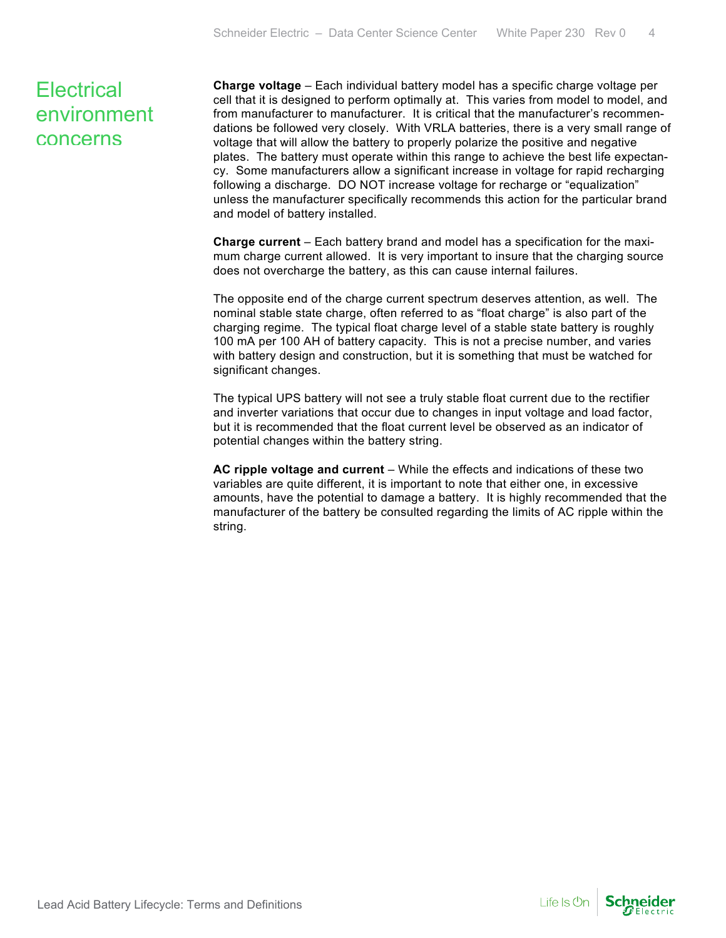# **Electrical** environment concerns

**Charge voltage** – Each individual battery model has a specific charge voltage per cell that it is designed to perform optimally at. This varies from model to model, and from manufacturer to manufacturer. It is critical that the manufacturer's recommendations be followed very closely. With VRLA batteries, there is a very small range of voltage that will allow the battery to properly polarize the positive and negative plates. The battery must operate within this range to achieve the best life expectancy. Some manufacturers allow a significant increase in voltage for rapid recharging following a discharge. DO NOT increase voltage for recharge or "equalization" unless the manufacturer specifically recommends this action for the particular brand and model of battery installed.

**Charge current** – Each battery brand and model has a specification for the maximum charge current allowed. It is very important to insure that the charging source does not overcharge the battery, as this can cause internal failures.

The opposite end of the charge current spectrum deserves attention, as well. The nominal stable state charge, often referred to as "float charge" is also part of the charging regime. The typical float charge level of a stable state battery is roughly 100 mA per 100 AH of battery capacity. This is not a precise number, and varies with battery design and construction, but it is something that must be watched for significant changes.

The typical UPS battery will not see a truly stable float current due to the rectifier and inverter variations that occur due to changes in input voltage and load factor, but it is recommended that the float current level be observed as an indicator of potential changes within the battery string.

**AC ripple voltage and current** – While the effects and indications of these two variables are quite different, it is important to note that either one, in excessive amounts, have the potential to damage a battery. It is highly recommended that the manufacturer of the battery be consulted regarding the limits of AC ripple within the string.

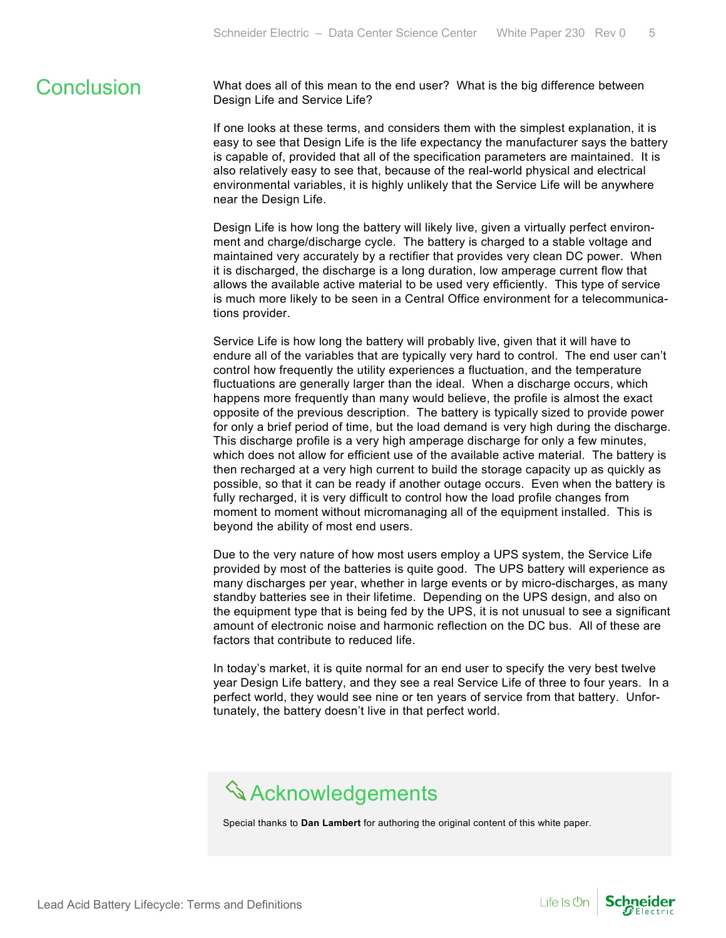## Conclusion

What does all of this mean to the end user? What is the big difference between Design Life and Service Life?

If one looks at these terms, and considers them with the simplest explanation, it is easy to see that Design Life is the life expectancy the manufacturer says the battery is capable of, provided that all of the specification parameters are maintained. It is also relatively easy to see that, because of the real-world physical and electrical environmental variables, it is highly unlikely that the Service Life will be anywhere near the Design Life.

Design Life is how long the battery will likely live, given a virtually perfect environment and charge/discharge cycle. The battery is charged to a stable voltage and maintained very accurately by a rectifier that provides very clean DC power. When it is discharged, the discharge is a long duration, low amperage current flow that allows the available active material to be used very efficiently. This type of service is much more likely to be seen in a Central Office environment for a telecommunications provider.

Service Life is how long the battery will probably live, given that it will have to endure all of the variables that are typically very hard to control. The end user can't control how frequently the utility experiences a fluctuation, and the temperature fluctuations are generally larger than the ideal. When a discharge occurs, which happens more frequently than many would believe, the profile is almost the exact opposite of the previous description. The battery is typically sized to provide power for only a brief period of time, but the load demand is very high during the discharge. This discharge profile is a very high amperage discharge for only a few minutes, which does not allow for efficient use of the available active material. The battery is then recharged at a very high current to build the storage capacity up as quickly as possible, so that it can be ready if another outage occurs. Even when the battery is fully recharged, it is very difficult to control how the load profile changes from moment to moment without micromanaging all of the equipment installed. This is beyond the ability of most end users.

Due to the very nature of how most users employ a UPS system, the Service Life provided by most of the batteries is quite good. The UPS battery will experience as many discharges per year, whether in large events or by micro-discharges, as many standby batteries see in their lifetime. Depending on the UPS design, and also on the equipment type that is being fed by the UPS, it is not unusual to see a significant amount of electronic noise and harmonic reflection on the DC bus. All of these are factors that contribute to reduced life.

In today's market, it is quite normal for an end user to specify the very best twelve year Design Life battery, and they see a real Service Life of three to four years. In a perfect world, they would see nine or ten years of service from that battery. Unfortunately, the battery doesn't live in that perfect world.

# **Acknowledgements**

Special thanks to **Dan Lambert** for authoring the original content of this white paper.